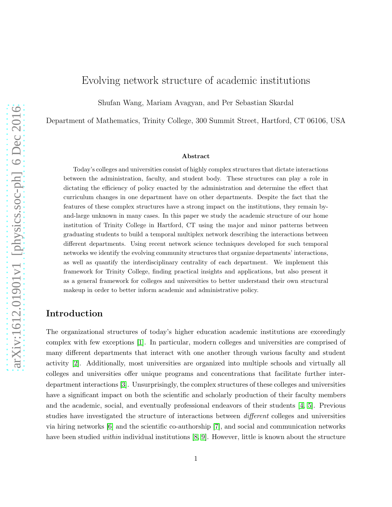# Evolving network structure of academic institutions

Shufan Wang, Mariam Avagyan, and Per Sebastian Skardal

Department of Mathematics, Trinity College, 300 Summit Street, Hartford, CT 06106, USA

#### Abstract

Today's colleges and universities consist of highly complex structures that dictate interactions between the administration, faculty, and student body. These structures can play a role in dictating the efficiency of policy enacted by the administration and determine the effect that curriculum changes in one department have on other departments. Despite the fact that the features of these complex structures have a strong impact on the institutions, they remain byand-large unknown in many cases. In this paper we study the academic structure of our home institution of Trinity College in Hartford, CT using the major and minor patterns between graduating students to build a temporal multiplex network describing the interactions between different departments. Using recent network science techniques developed for such temporal networks we identify the evolving community structures that organize departments' interactions, as well as quantify the interdisciplinary centrality of each department. We implement this framework for Trinity College, finding practical insights and applications, but also present it as a general framework for colleges and universities to better understand their own structural makeup in order to better inform academic and administrative policy.

#### Introduction

The organizational structures of today's higher education academic institutions are exceedingly complex with few exceptions [\[1\]](#page-13-0). In particular, modern colleges and universities are comprised of many different departments that interact with one another through various faculty and student activity [\[2\]](#page-13-1). Additionally, most universities are organized into multiple schools and virtually all colleges and universities offer unique programs and concentrations that facilitate further interdepartment interactions [\[3\]](#page-13-2). Unsurprisingly, the complex structures of these colleges and universities have a significant impact on both the scientific and scholarly production of their faculty members and the academic, social, and eventually professional endeavors of their students [\[4,](#page-13-3) [5\]](#page-13-4). Previous studies have investigated the structure of interactions between *different* colleges and universities via hiring networks [\[6\]](#page-13-5) and the scientific co-authorship [\[7\]](#page-13-6), and social and communication networks have been studied *within* individual institutions [\[8,](#page-13-7) [9\]](#page-13-8). However, little is known about the structure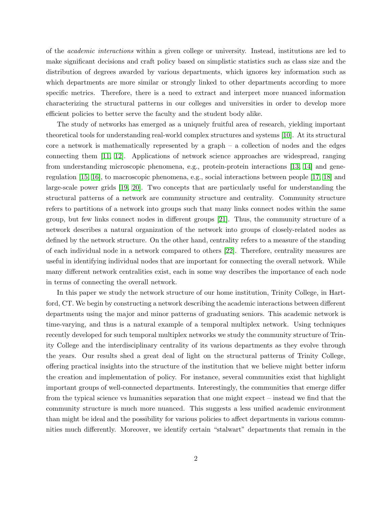of the academic interactions within a given college or university. Instead, institutions are led to make significant decisions and craft policy based on simplistic statistics such as class size and the distribution of degrees awarded by various departments, which ignores key information such as which departments are more similar or strongly linked to other departments according to more specific metrics. Therefore, there is a need to extract and interpret more nuanced information characterizing the structural patterns in our colleges and universities in order to develop more efficient policies to better serve the faculty and the student body alike.

The study of networks has emerged as a uniquely fruitful area of research, yielding important theoretical tools for understanding real-world complex structures and systems [\[10\]](#page-13-9). At its structural core a network is mathematically represented by a graph – a collection of nodes and the edges connecting them [\[11,](#page-13-10) [12\]](#page-13-11). Applications of network science approaches are widespread, ranging from understanding microscopic phenomena, e.g., protein-protein interactions [\[13,](#page-13-12) [14\]](#page-13-13) and generegulation [\[15,](#page-14-0) [16\]](#page-14-1), to macroscopic phenomena, e.g., social interactions between people [\[17,](#page-14-2) [18\]](#page-14-3) and large-scale power grids [\[19,](#page-14-4) [20\]](#page-14-5). Two concepts that are particularly useful for understanding the structural patterns of a network are community structure and centrality. Community structure refers to partitions of a network into groups such that many links connect nodes within the same group, but few links connect nodes in different groups [\[21\]](#page-14-6). Thus, the community structure of a network describes a natural organization of the network into groups of closely-related nodes as defined by the network structure. On the other hand, centrality refers to a measure of the standing of each individual node in a network compared to others [\[22\]](#page-14-7). Therefore, centrality measures are useful in identifying individual nodes that are important for connecting the overall network. While many different network centralities exist, each in some way describes the importance of each node in terms of connecting the overall network.

In this paper we study the network structure of our home institution, Trinity College, in Hartford, CT. We begin by constructing a network describing the academic interactions between different departments using the major and minor patterns of graduating seniors. This academic network is time-varying, and thus is a natural example of a temporal multiplex network. Using techniques recently developed for such temporal multiplex networks we study the community structure of Trinity College and the interdisciplinary centrality of its various departments as they evolve through the years. Our results shed a great deal of light on the structural patterns of Trinity College, offering practical insights into the structure of the institution that we believe might better inform the creation and implementation of policy. For instance, several communities exist that highlight important groups of well-connected departments. Interestingly, the communities that emerge differ from the typical science vs humanities separation that one might expect – instead we find that the community structure is much more nuanced. This suggests a less unified academic environment than might be ideal and the possibility for various policies to affect departments in various communities much differently. Moreover, we identify certain "stalwart" departments that remain in the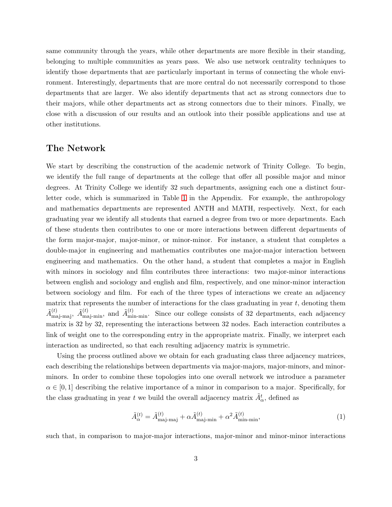same community through the years, while other departments are more flexible in their standing, belonging to multiple communities as years pass. We also use network centrality techniques to identify those departments that are particularly important in terms of connecting the whole environment. Interestingly, departments that are more central do not necessarily correspond to those departments that are larger. We also identify departments that act as strong connectors due to their majors, while other departments act as strong connectors due to their minors. Finally, we close with a discussion of our results and an outlook into their possible applications and use at other institutions.

#### The Network

We start by describing the construction of the academic network of Trinity College. To begin, we identify the full range of departments at the college that offer all possible major and minor degrees. At Trinity College we identify 32 such departments, assigning each one a distinct fourletter code, which is summarized in Table [1](#page-12-0) in the Appendix. For example, the anthropology and mathematics departments are represented ANTH and MATH, respectively. Next, for each graduating year we identify all students that earned a degree from two or more departments. Each of these students then contributes to one or more interactions between different departments of the form major-major, major-minor, or minor-minor. For instance, a student that completes a double-major in engineering and mathematics contributes one major-major interaction between engineering and mathematics. On the other hand, a student that completes a major in English with minors in sociology and film contributes three interactions: two major-minor interactions between english and sociology and english and film, respectively, and one minor-minor interaction between sociology and film. For each of the three types of interactions we create an adjacency matrix that represents the number of interactions for the class graduating in year  $t$ , denoting them  $\tilde{A}^{(t)}_{\text{maj-maj}}, \ \tilde{A}^{(t)}_{\text{maj-min}}, \text{ and } \tilde{A}^{(t)}_{\text{min-min}}.$  Since our college consists of 32 departments, each adjacency matrix is 32 by 32, representing the interactions between 32 nodes. Each interaction contributes a link of weight one to the corresponding entry in the appropriate matrix. Finally, we interpret each interaction as undirected, so that each resulting adjacency matrix is symmetric.

Using the process outlined above we obtain for each graduating class three adjacency matrices, each describing the relationships between departments via major-majors, major-minors, and minorminors. In order to combine these topologies into one overall network we introduce a parameter  $\alpha \in [0,1]$  describing the relative importance of a minor in comparison to a major. Specifically, for the class graduating in year t we build the overall adjacency matrix  $\tilde{A}^t_{\alpha}$ , defined as

$$
\tilde{A}_{\alpha}^{(t)} = \tilde{A}_{\text{maj-maj}}^{(t)} + \alpha \tilde{A}_{\text{maj-min}}^{(t)} + \alpha^2 \tilde{A}_{\text{min-min}}^{(t)},\tag{1}
$$

such that, in comparison to major-major interactions, major-minor and minor-minor interactions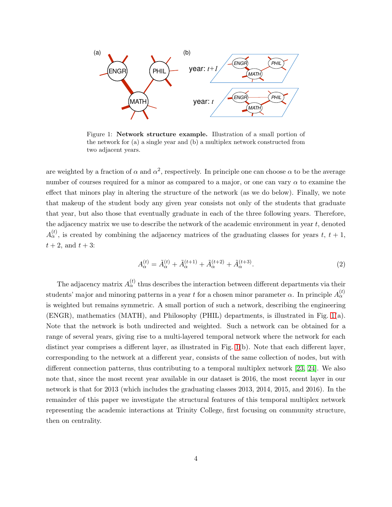<span id="page-3-0"></span>

Figure 1: Network structure example. Illustration of a small portion of the network for (a) a single year and (b) a multiplex network constructed from two adjacent years.

are weighted by a fraction of  $\alpha$  and  $\alpha^2$ , respectively. In principle one can choose  $\alpha$  to be the average number of courses required for a minor as compared to a major, or one can vary  $\alpha$  to examine the effect that minors play in altering the structure of the network (as we do below). Finally, we note that makeup of the student body any given year consists not only of the students that graduate that year, but also those that eventually graduate in each of the three following years. Therefore, the adjacency matrix we use to describe the network of the academic environment in year  $t$ , denoted  $A_{\alpha}^{(t)}$ , is created by combining the adjacency matrices of the graduating classes for years t,  $t + 1$ ,  $t + 2$ , and  $t + 3$ :

$$
A_{\alpha}^{(t)} = \tilde{A}_{\alpha}^{(t)} + \tilde{A}_{\alpha}^{(t+1)} + \tilde{A}_{\alpha}^{(t+2)} + \tilde{A}_{\alpha}^{(t+3)}.
$$
 (2)

The adjacency matrix  $A_{\alpha}^{(t)}$  thus describes the interaction between different departments via their students' major and minoring patterns in a year t for a chosen minor parameter  $\alpha$ . In principle  $A_{\alpha}^{(t)}$ is weighted but remains symmetric. A small portion of such a network, describing the engineering (ENGR), mathematics (MATH), and Philosophy (PHIL) departments, is illustrated in Fig. [1\(](#page-3-0)a). Note that the network is both undirected and weighted. Such a network can be obtained for a range of several years, giving rise to a multi-layered temporal network where the network for each distinct year comprises a different layer, as illustrated in Fig. [1\(](#page-3-0)b). Note that each different layer, corresponding to the network at a different year, consists of the same collection of nodes, but with different connection patterns, thus contributing to a temporal multiplex network [\[23,](#page-14-8) [24\]](#page-14-9). We also note that, since the most recent year available in our dataset is 2016, the most recent layer in our network is that for 2013 (which includes the graduating classes 2013, 2014, 2015, and 2016). In the remainder of this paper we investigate the structural features of this temporal multiplex network representing the academic interactions at Trinity College, first focusing on community structure, then on centrality.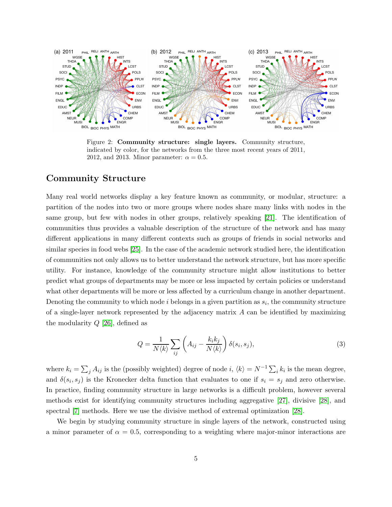<span id="page-4-0"></span>

Figure 2: Community structure: single layers. Community structure, indicated by color, for the networks from the three most recent years of 2011, 2012, and 2013. Minor parameter:  $\alpha = 0.5$ .

### Community Structure

Many real world networks display a key feature known as community, or modular, structure: a partition of the nodes into two or more groups where nodes share many links with nodes in the same group, but few with nodes in other groups, relatively speaking [\[21\]](#page-14-6). The identification of communities thus provides a valuable description of the structure of the network and has many different applications in many different contexts such as groups of friends in social networks and similar species in food webs [\[25\]](#page-14-10). In the case of the academic network studied here, the identification of communities not only allows us to better understand the network structure, but has more specific utility. For instance, knowledge of the community structure might allow institutions to better predict what groups of departments may be more or less impacted by certain policies or understand what other departments will be more or less affected by a curriculum change in another department. Denoting the community to which node  $i$  belongs in a given partition as  $s_i$ , the community structure of a single-layer network represented by the adjacency matrix  $A$  can be identified by maximizing the modularity  $Q$  [\[26\]](#page-14-11), defined as

$$
Q = \frac{1}{N \langle k \rangle} \sum_{ij} \left( A_{ij} - \frac{k_i k_j}{N \langle k \rangle} \right) \delta(s_i, s_j), \tag{3}
$$

where  $k_i = \sum_j A_{ij}$  is the (possibly weighted) degree of node i,  $\langle k \rangle = N^{-1} \sum_i k_i$  is the mean degree, and  $\delta(s_i, s_j)$  is the Kronecker delta function that evaluates to one if  $s_i = s_j$  and zero otherwise. In practice, finding community structure in large networks is a difficult problem, however several methods exist for identifying community structures including aggregative [\[27\]](#page-14-12), divisive [\[28\]](#page-14-13), and spectral [\[7\]](#page-13-6) methods. Here we use the divisive method of extremal optimization [\[28\]](#page-14-13).

We begin by studying community structure in single layers of the network, constructed using a minor parameter of  $\alpha = 0.5$ , corresponding to a weighting where major-minor interactions are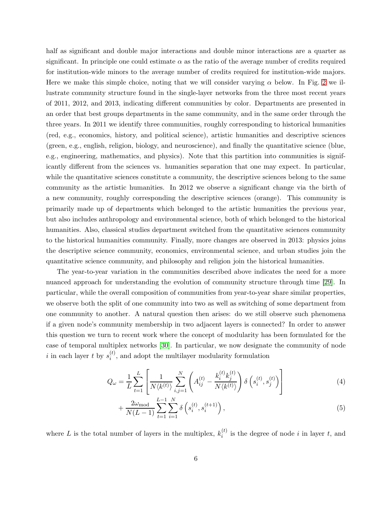half as significant and double major interactions and double minor interactions are a quarter as significant. In principle one could estimate  $\alpha$  as the ratio of the average number of credits required for institution-wide minors to the average number of credits required for institution-wide majors. Here we make this simple choice, noting that we will consider varying  $\alpha$  below. In Fig. [2](#page-4-0) we illustrate community structure found in the single-layer networks from the three most recent years of 2011, 2012, and 2013, indicating different communities by color. Departments are presented in an order that best groups departments in the same community, and in the same order through the three years. In 2011 we identify three communities, roughly corresponding to historical humanities (red, e.g., economics, history, and political science), artistic humanities and descriptive sciences (green, e.g., english, religion, biology, and neuroscience), and finally the quantitative science (blue, e.g., engineering, mathematics, and physics). Note that this partition into communities is significantly different from the sciences vs. humanities separation that one may expect. In particular, while the quantitative sciences constitute a community, the descriptive sciences belong to the same community as the artistic humanities. In 2012 we observe a significant change via the birth of a new community, roughly corresponding the descriptive sciences (orange). This community is primarily made up of departments which belonged to the artistic humanities the previous year, but also includes anthropology and environmental science, both of which belonged to the historical humanities. Also, classical studies department switched from the quantitative sciences community to the historical humanities community. Finally, more changes are observed in 2013: physics joins the descriptive science community, economics, environmental science, and urban studies join the quantitative science community, and philosophy and religion join the historical humanities.

The year-to-year variation in the communities described above indicates the need for a more nuanced approach for understanding the evolution of community structure through time [\[29\]](#page-14-14). In particular, while the overall composition of communities from year-to-year share similar properties, we observe both the split of one community into two as well as switching of some department from one community to another. A natural question then arises: do we still observe such phenomena if a given node's community membership in two adjacent layers is connected? In order to answer this question we turn to recent work where the concept of modularity has been formulated for the case of temporal multiplex networks [\[30\]](#page-15-0). In particular, we now designate the community of node i in each layer t by  $s_i^{(t)}$  $i^{(t)}$ , and adopt the multilayer modularity formulation

$$
Q_{\omega} = \frac{1}{L} \sum_{t=1}^{L} \left[ \frac{1}{N \langle k^{(t)} \rangle} \sum_{i,j=1}^{N} \left( A_{ij}^{(t)} - \frac{k_i^{(t)} k_j^{(t)}}{N \langle k^{(t)} \rangle} \right) \delta \left( s_i^{(t)}, s_j^{(t)} \right) \right]
$$
(4)

<span id="page-5-0"></span>
$$
+\frac{2\omega_{\text{mod}}}{N(L-1)}\sum_{t=1}^{L-1}\sum_{i=1}^{N}\delta\left(s_{i}^{(t)},s_{i}^{(t+1)}\right),\tag{5}
$$

where L is the total number of layers in the multiplex,  $k_i^{(t)}$  $i^{(t)}$  is the degree of node i in layer t, and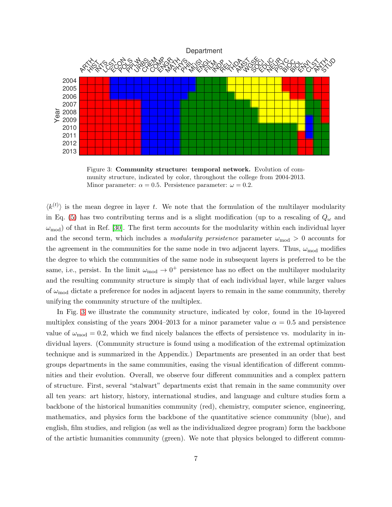<span id="page-6-0"></span>

Figure 3: Community structure: temporal network. Evolution of community structure, indicated by color, throughout the college from 2004-2013. Minor parameter:  $\alpha = 0.5$ . Persistence parameter:  $\omega = 0.2$ .

 $\langle k^{(t)} \rangle$  is the mean degree in layer t. We note that the formulation of the multilayer modularity in Eq. [\(5\)](#page-5-0) has two contributing terms and is a slight modification (up to a rescaling of  $Q_{\omega}$  and  $\omega_{\text{mod}}$ ) of that in Ref. [\[30\]](#page-15-0). The first term accounts for the modularity within each individual layer and the second term, which includes a *modularity persistence* parameter  $\omega_{mod} > 0$  accounts for the agreement in the communities for the same node in two adjacent layers. Thus,  $\omega_{mod}$  modifies the degree to which the communities of the same node in subsequent layers is preferred to be the same, i.e., persist. In the limit  $\omega_{mod} \to 0^+$  persistence has no effect on the multilayer modularity and the resulting community structure is simply that of each individual layer, while larger values of  $\omega_{\text{mod}}$  dictate a preference for nodes in adjacent layers to remain in the same community, thereby unifying the community structure of the multiplex.

In Fig. [3](#page-6-0) we illustrate the community structure, indicated by color, found in the 10-layered multiplex consisting of the years 2004–2013 for a minor parameter value  $\alpha = 0.5$  and persistence value of  $\omega_{\text{mod}} = 0.2$ , which we find nicely balances the effects of persistence vs. modularity in individual layers. (Community structure is found using a modification of the extremal optimization technique and is summarized in the Appendix.) Departments are presented in an order that best groups departments in the same communities, easing the visual identification of different communities and their evolution. Overall, we observe four different communities and a complex pattern of structure. First, several "stalwart" departments exist that remain in the same community over all ten years: art history, history, international studies, and language and culture studies form a backbone of the historical humanities community (red), chemistry, computer science, engineering, mathematics, and physics form the backbone of the quantitative science community (blue), and english, film studies, and religion (as well as the individualized degree program) form the backbone of the artistic humanities community (green). We note that physics belonged to different commu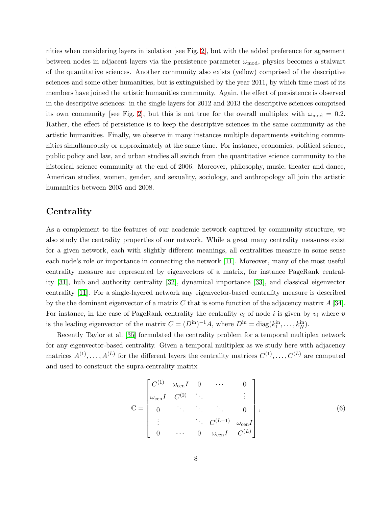nities when considering layers in isolation [see Fig. [2\]](#page-4-0), but with the added preference for agreement between nodes in adjacent layers via the persistence parameter  $\omega_{mod}$ , physics becomes a stalwart of the quantitative sciences. Another community also exists (yellow) comprised of the descriptive sciences and some other humanities, but is extinguished by the year 2011, by which time most of its members have joined the artistic humanities community. Again, the effect of persistence is observed in the descriptive sciences: in the single layers for 2012 and 2013 the descriptive sciences comprised its own community [see Fig. [2\]](#page-4-0), but this is not true for the overall multiplex with  $\omega_{\text{mod}} = 0.2$ . Rather, the effect of persistence is to keep the descriptive sciences in the same community as the artistic humanities. Finally, we observe in many instances multiple departments switching communities simultaneously or approximately at the same time. For instance, economics, political science, public policy and law, and urban studies all switch from the quantitative science community to the historical science community at the end of 2006. Moreover, philosophy, music, theater and dance, American studies, women, gender, and sexuality, sociology, and anthropology all join the artistic humanities between 2005 and 2008.

## **Centrality**

As a complement to the features of our academic network captured by community structure, we also study the centrality properties of our network. While a great many centrality measures exist for a given network, each with slightly different meanings, all centralities measure in some sense each node's role or importance in connecting the network [\[11\]](#page-13-10). Moreover, many of the most useful centrality measure are represented by eigenvectors of a matrix, for instance PageRank centrality [\[31\]](#page-15-1), hub and authority centrality [\[32\]](#page-15-2), dynamical importance [\[33\]](#page-15-3), and classical eigenvector centrality [\[11\]](#page-13-10). For a single-layered network any eigenvector-based centrality measure is described by the the dominant eigenvector of a matrix C that is some function of the adjacency matrix  $A$  [\[34\]](#page-15-4). For instance, in the case of PageRank centrality the centrality  $c_i$  of node i is given by  $v_i$  where  $v$ is the leading eigenvector of the matrix  $C = (D^{\text{in}})^{-1}A$ , where  $D^{\text{in}} = \text{diag}(k_1^{\text{in}}, \dots, k_N^{\text{in}})$ .

Recently Taylor et al. [\[35\]](#page-15-5) formulated the centrality problem for a temporal multiplex network for any eigenvector-based centrality. Given a temporal multiplex as we study here with adjacency matrices  $A^{(1)}, \ldots, A^{(L)}$  for the different layers the centrality matrices  $C^{(1)}, \ldots, C^{(L)}$  are computed and used to construct the supra-centrality matrix

$$
\mathbb{C} = \begin{bmatrix} C^{(1)} & \omega_{\text{cen}}I & 0 & \cdots & 0 \\ \omega_{\text{cen}}I & C^{(2)} & \ddots & & \vdots \\ 0 & \ddots & \ddots & \ddots & 0 \\ \vdots & & \ddots & C^{(L-1)} & \omega_{\text{cen}}I \\ 0 & \cdots & 0 & \omega_{\text{cen}}I & C^{(L)} \end{bmatrix},
$$
 (6)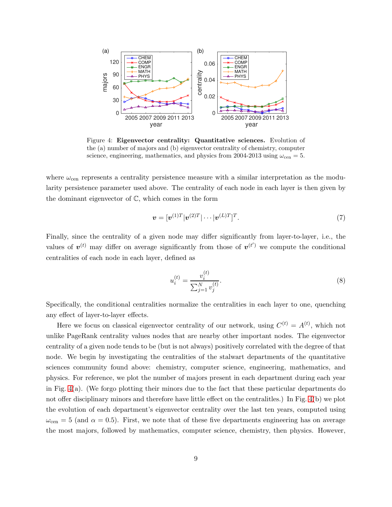<span id="page-8-0"></span>

Figure 4: Eigenvector centrality: Quantitative sciences. Evolution of the (a) number of majors and (b) eigenvector centrality of chemistry, computer science, engineering, mathematics, and physics from 2004-2013 using  $\omega_{\rm cen} = 5$ .

where  $\omega_{\rm cen}$  represents a centrality persistence measure with a similar interpretation as the modularity persistence parameter used above. The centrality of each node in each layer is then given by the dominant eigenvector of C, which comes in the form

$$
\boldsymbol{v} = [\boldsymbol{v}^{(1)T}|\boldsymbol{v}^{(2)T}|\cdots|\boldsymbol{v}^{(L)T}]^T. \tag{7}
$$

Finally, since the centrality of a given node may differ significantly from layer-to-layer, i.e., the values of  $v^{(t)}$  may differ on average significantly from those of  $v^{(t)}$  we compute the conditional centralities of each node in each layer, defined as

$$
u_i^{(t)} = \frac{v_i^{(t)}}{\sum_{j=1}^N v_j^{(t)}}.\tag{8}
$$

Specifically, the conditional centralities normalize the centralities in each layer to one, quenching any effect of layer-to-layer effects.

Here we focus on classical eigenvector centrality of our network, using  $C^{(t)} = A^{(t)}$ , which not unlike PageRank centrality values nodes that are nearby other important nodes. The eigenvector centrality of a given node tends to be (but is not always) positively correlated with the degree of that node. We begin by investigating the centralities of the stalwart departments of the quantitative sciences community found above: chemistry, computer science, engineering, mathematics, and physics. For reference, we plot the number of majors present in each department during each year in Fig.  $4(a)$ . (We forgo plotting their minors due to the fact that these particular departments do not offer disciplinary minors and therefore have little effect on the centralitles.) In Fig. [4\(](#page-8-0)b) we plot the evolution of each department's eigenvector centrality over the last ten years, computed using  $\omega_{\rm cen} = 5$  (and  $\alpha = 0.5$ ). First, we note that of these five departments engineering has on average the most majors, followed by mathematics, computer science, chemistry, then physics. However,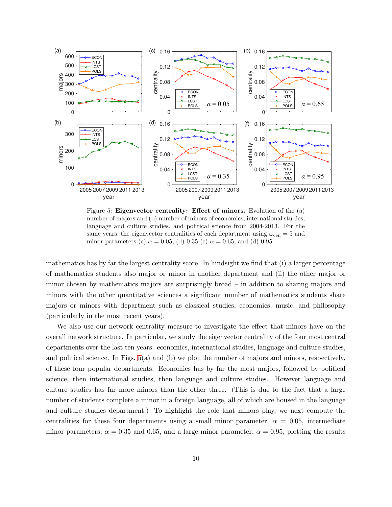<span id="page-9-0"></span>

Figure 5: Eigenvector centrality: Effect of minors. Evolution of the (a) number of majors and (b) number of minors of economics, international studies, language and culture studies, and political science from 2004-2013. For the same years, the eigenvector centralities of each department using  $\omega_{\rm cen} = 5$  and minor parameters (c)  $\alpha = 0.05$ , (d) 0.35 (e)  $\alpha = 0.65$ , and (d) 0.95.

mathematics has by far the largest centrality score. In hindsight we find that (i) a larger percentage of mathematics students also major or minor in another department and (ii) the other major or minor chosen by mathematics majors are surprisingly broad – in addition to sharing majors and minors with the other quantitative sciences a significant number of mathematics students share majors or minors with department such as classical studies, economics, music, and philosophy (particularly in the most recent years).

We also use our network centrality measure to investigate the effect that minors have on the overall network structure. In particular, we study the eigenvector centrality of the four most central departments over the last ten years: economics, international studies, language and culture studies, and political science. In Figs. [5\(](#page-9-0)a) and (b) we plot the number of majors and minors, respectively, of these four popular departments. Economics has by far the most majors, followed by political science, then international studies, then language and culture studies. However language and culture studies has far more minors than the other three. (This is due to the fact that a large number of students complete a minor in a foreign language, all of which are housed in the language and culture studies department.) To highlight the role that minors play, we next compute the centralities for these four departments using a small minor parameter,  $\alpha = 0.05$ , intermediate minor parameters,  $\alpha = 0.35$  and 0.65, and a large minor parameter,  $\alpha = 0.95$ , plotting the results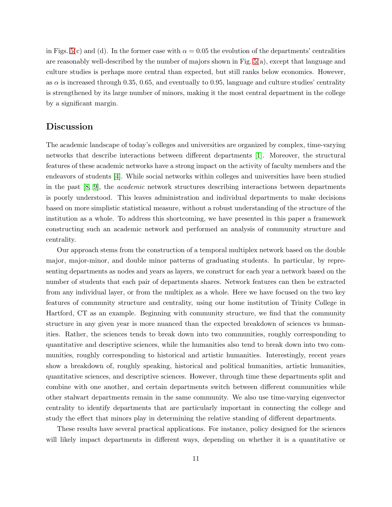in Figs. [5\(](#page-9-0)c) and (d). In the former case with  $\alpha = 0.05$  the evolution of the departments' centralities are reasonably well-described by the number of majors shown in Fig. [5\(](#page-9-0)a), except that language and culture studies is perhaps more central than expected, but still ranks below economics. However, as  $\alpha$  is increased through 0.35, 0.65, and eventually to 0.95, language and culture studies' centrality is strengthened by its large number of minors, making it the most central department in the college by a significant margin.

### Discussion

The academic landscape of today's colleges and universities are organized by complex, time-varying networks that describe interactions between different departments [\[1\]](#page-13-0). Moreover, the structural features of these academic networks have a strong impact on the activity of faculty members and the endeavors of students [\[4\]](#page-13-3). While social networks within colleges and universities have been studied in the past [\[8,](#page-13-7) [9\]](#page-13-8), the academic network structures describing interactions between departments is poorly understood. This leaves administration and individual departments to make decisions based on more simplistic statistical measure, without a robust understanding of the structure of the institution as a whole. To address this shortcoming, we have presented in this paper a framework constructing such an academic network and performed an analysis of community structure and centrality.

Our approach stems from the construction of a temporal multiplex network based on the double major, major-minor, and double minor patterns of graduating students. In particular, by representing departments as nodes and years as layers, we construct for each year a network based on the number of students that each pair of departments shares. Network features can then be extracted from any individual layer, or from the multiplex as a whole. Here we have focused on the two key features of community structure and centrality, using our home institution of Trinity College in Hartford, CT as an example. Beginning with community structure, we find that the community structure in any given year is more nuanced than the expected breakdown of sciences vs humanities. Rather, the sciences tends to break down into two communities, roughly corresponding to quantitative and descriptive sciences, while the humanities also tend to break down into two communities, roughly corresponding to historical and artistic humanities. Interestingly, recent years show a breakdown of, roughly speaking, historical and political humanities, artistic humanities, quantitative sciences, and descriptive sciences. However, through time these departments split and combine with one another, and certain departments switch between different communities while other stalwart departments remain in the same community. We also use time-varying eigenvector centrality to identify departments that are particularly important in connecting the college and study the effect that minors play in determining the relative standing of different departments.

These results have several practical applications. For instance, policy designed for the sciences will likely impact departments in different ways, depending on whether it is a quantitative or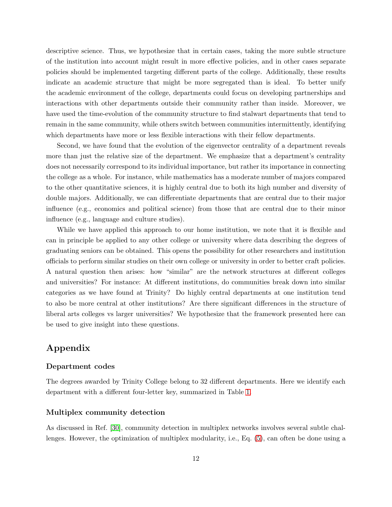descriptive science. Thus, we hypothesize that in certain cases, taking the more subtle structure of the institution into account might result in more effective policies, and in other cases separate policies should be implemented targeting different parts of the college. Additionally, these results indicate an academic structure that might be more segregated than is ideal. To better unify the academic environment of the college, departments could focus on developing partnerships and interactions with other departments outside their community rather than inside. Moreover, we have used the time-evolution of the community structure to find stalwart departments that tend to remain in the same community, while others switch between communities intermittently, identifying which departments have more or less flexible interactions with their fellow departments.

Second, we have found that the evolution of the eigenvector centrality of a department reveals more than just the relative size of the department. We emphasize that a department's centrality does not necessarily correspond to its individual importance, but rather its importance in connecting the college as a whole. For instance, while mathematics has a moderate number of majors compared to the other quantitative sciences, it is highly central due to both its high number and diversity of double majors. Additionally, we can differentiate departments that are central due to their major influence (e.g., economics and political science) from those that are central due to their minor influence (e.g., language and culture studies).

While we have applied this approach to our home institution, we note that it is flexible and can in principle be applied to any other college or university where data describing the degrees of graduating seniors can be obtained. This opens the possibility for other researchers and institution officials to perform similar studies on their own college or university in order to better craft policies. A natural question then arises: how "similar" are the network structures at different colleges and universities? For instance: At different institutions, do communities break down into similar categories as we have found at Trinity? Do highly central departments at one institution tend to also be more central at other institutions? Are there significant differences in the structure of liberal arts colleges vs larger universities? We hypothesize that the framework presented here can be used to give insight into these questions.

# Appendix

#### Department codes

The degrees awarded by Trinity College belong to 32 different departments. Here we identify each department with a different four-letter key, summarized in Table [1.](#page-12-0)

#### Multiplex community detection

As discussed in Ref. [\[30\]](#page-15-0), community detection in multiplex networks involves several subtle challenges. However, the optimization of multiplex modularity, i.e., Eq. [\(5\)](#page-5-0), can often be done using a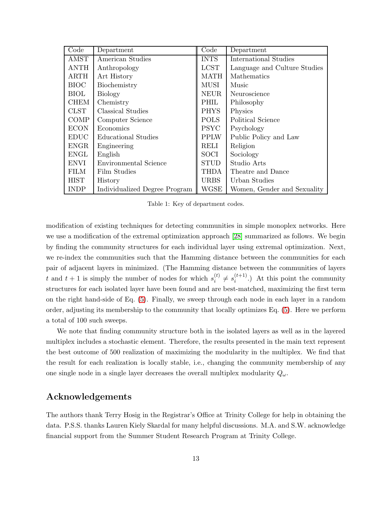<span id="page-12-0"></span>

| Code        | Department                    | Code        | Department                   |
|-------------|-------------------------------|-------------|------------------------------|
| AMST        | American Studies              | <b>INTS</b> | <b>International Studies</b> |
| <b>ANTH</b> | Anthropology                  | <b>LCST</b> | Language and Culture Studies |
| <b>ARTH</b> | Art History                   | <b>MATH</b> | <b>Mathematics</b>           |
| <b>BIOC</b> | Biochemistry                  | <b>MUSI</b> | Music                        |
| <b>BIOL</b> | <b>Biology</b>                | <b>NEUR</b> | Neuroscience                 |
| <b>CHEM</b> | Chemistry                     | PHIL        | Philosophy                   |
| <b>CLST</b> | Classical Studies             | <b>PHYS</b> | Physics                      |
| COMP        | Computer Science              | <b>POLS</b> | Political Science            |
| <b>ECON</b> | Economics                     | <b>PSYC</b> | Psychology                   |
| <b>EDUC</b> | Educational Studies           | <b>PPLW</b> | Public Policy and Law        |
| <b>ENGR</b> | Engineering                   | RELI        | Religion                     |
| <b>ENGL</b> | English                       | SOCI        | Sociology                    |
| ENVI        | Environmental Science         | <b>STUD</b> | Studio Arts                  |
| <b>FILM</b> | Film Studies                  | THDA        | Theatre and Dance            |
| <b>HIST</b> | History                       | <b>URBS</b> | Urban Studies                |
| <b>INDP</b> | Individualized Degree Program | <b>WGSE</b> | Women, Gender and Sexuality  |

Table 1: Key of department codes.

modification of existing techniques for detecting communities in simple monoplex networks. Here we use a modification of the extremal optimization approach [\[28\]](#page-14-13) summarized as follows. We begin by finding the community structures for each individual layer using extremal optimization. Next, we re-index the communities such that the Hamming distance between the communities for each pair of adjacent layers in minimized. (The Hamming distance between the communities of layers t and  $t + 1$  is simply the number of nodes for which  $s_i^{(t)}$  $i^{(t)} \neq s_i^{(t+1)}$  $i^{(l+1)}$ .) At this point the community structures for each isolated layer have been found and are best-matched, maximizing the first term on the right hand-side of Eq. [\(5\)](#page-5-0). Finally, we sweep through each node in each layer in a random order, adjusting its membership to the community that locally optimizes Eq. [\(5\)](#page-5-0). Here we perform a total of 100 such sweeps.

We note that finding community structure both in the isolated layers as well as in the layered multiplex includes a stochastic element. Therefore, the results presented in the main text represent the best outcome of 500 realization of maximizing the modularity in the multiplex. We find that the result for each realization is locally stable, i.e., changing the community membership of any one single node in a single layer decreases the overall multiplex modularity  $Q_{\omega}$ .

# Acknowledgements

The authors thank Terry Hosig in the Registrar's Office at Trinity College for help in obtaining the data. P.S.S. thanks Lauren Kiely Skardal for many helpful discussions. M.A. and S.W. acknowledge financial support from the Summer Student Research Program at Trinity College.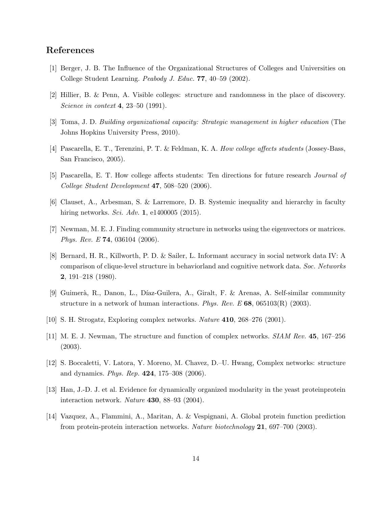# <span id="page-13-0"></span>References

- <span id="page-13-1"></span>[1] Berger, J. B. The Influence of the Organizational Structures of Colleges and Universities on College Student Learning. Peabody J. Educ. 77, 40–59 (2002).
- <span id="page-13-2"></span>[2] Hillier, B. & Penn, A. Visible colleges: structure and randomness in the place of discovery. Science in context **4**, 23–50 (1991).
- <span id="page-13-3"></span>[3] Toma, J. D. Building organizational capacity: Strategic management in higher education (The Johns Hopkins University Press, 2010).
- <span id="page-13-4"></span>[4] Pascarella, E. T., Terenzini, P. T. & Feldman, K. A. How college affects students (Jossey-Bass, San Francisco, 2005).
- <span id="page-13-5"></span>[5] Pascarella, E. T. How college affects students: Ten directions for future research Journal of College Student Development 47, 508–520 (2006).
- <span id="page-13-6"></span>[6] Clauset, A., Arbesman, S. & Larremore, D. B. Systemic inequality and hierarchy in faculty hiring networks. *Sci. Adv.* **1**, e1400005 (2015).
- <span id="page-13-7"></span>[7] Newman, M. E. J. Finding community structure in networks using the eigenvectors or matrices. Phys. Rev. E 74, 036104 (2006).
- [8] Bernard, H. R., Killworth, P. D. & Sailer, L. Informant accuracy in social network data IV: A comparison of clique-level structure in behaviorland and cognitive network data. Soc. Networks 2, 191–218 (1980).
- <span id="page-13-9"></span><span id="page-13-8"></span>[9] Guimer`a, R., Danon, L., D´ıaz-Guilera, A., Giralt, F. & Arenas, A. Self-similar community structure in a network of human interactions. Phys. Rev. E 68, 065103(R) (2003).
- <span id="page-13-10"></span>[10] S. H. Strogatz, Exploring complex networks. Nature 410, 268–276 (2001).
- <span id="page-13-11"></span>[11] M. E. J. Newman, The structure and function of complex networks. SIAM Rev. 45, 167–256 (2003).
- <span id="page-13-12"></span>[12] S. Boccaletti, V. Latora, Y. Moreno, M. Chavez, D.–U. Hwang, Complex networks: structure and dynamics. Phys. Rep. 424, 175–308 (2006).
- <span id="page-13-13"></span>[13] Han, J.-D. J. et al. Evidence for dynamically organized modularity in the yeast proteinprotein interaction network. Nature 430, 88–93 (2004).
- [14] Vazquez, A., Flammini, A., Maritan, A. & Vespignani, A. Global protein function prediction from protein-protein interaction networks. Nature biotechnology 21, 697–700 (2003).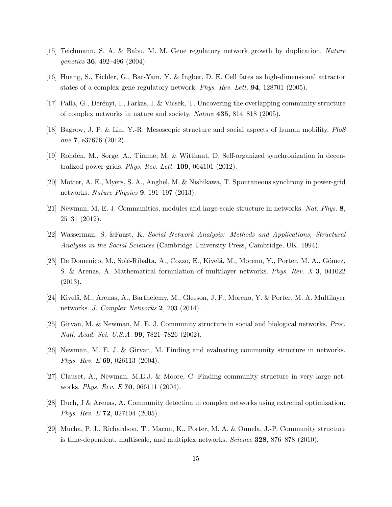- <span id="page-14-1"></span><span id="page-14-0"></span>[15] Teichmann, S. A. & Babu, M. M. Gene regulatory network growth by duplication. Nature genetics 36, 492–496 (2004).
- <span id="page-14-2"></span>[16] Huang, S., Eichler, G., Bar-Yam, Y. & Ingber, D. E. Cell fates as high-dimensional attractor states of a complex gene regulatory network. Phys. Rev. Lett. 94, 128701 (2005).
- <span id="page-14-3"></span>[17] Palla, G., Derényi, I., Farkas, I. & Vicsek, T. Uncovering the overlapping community structure of complex networks in nature and society. Nature 435, 814–818 (2005).
- <span id="page-14-4"></span>[18] Bagrow, J. P. & Lin, Y.-R. Mesoscopic structure and social aspects of human mobility. PloS one 7, e37676 (2012).
- <span id="page-14-5"></span>[19] Rohden, M., Sorge, A., Timme, M. & Witthaut, D. Self-organized synchronization in decentralized power grids. Phys. Rev. Lett. 109, 064101 (2012).
- <span id="page-14-6"></span>[20] Motter, A. E., Myers, S. A., Anghel, M. & Nishikawa, T. Spontaneous synchrony in power-grid networks. Nature Physics 9, 191–197 (2013).
- <span id="page-14-7"></span>[21] Newman, M. E. J. Communities, modules and large-scale structure in networks. Nat. Phys. 8, 25–31 (2012).
- <span id="page-14-8"></span>[22] Wasserman, S. &Faust, K. Social Network Analysis: Methods and Applications, Structural Analysis in the Social Sciences (Cambridge University Press, Cambridge, UK, 1994).
- [23] De Domenico, M., Solé-Ribalta, A., Cozzo, E., Kivelä, M., Moreno, Y., Porter, M. A., Gómez, S. & Arenas, A. Mathematical formulation of multilayer networks. Phys. Rev. X 3, 041022 (2013).
- <span id="page-14-10"></span><span id="page-14-9"></span>[24] Kivelä, M., Arenas, A., Barthelemy, M., Gleeson, J. P., Moreno, Y. & Porter, M. A. Multilayer networks. *J. Complex Networks* **2**, 203 (2014).
- <span id="page-14-11"></span>[25] Girvan, M. & Newman, M. E. J. Community structure in social and biological networks. Proc. Natl. Acad. Sci. U.S.A. 99, 7821–7826 (2002).
- <span id="page-14-12"></span>[26] Newman, M. E. J. & Girvan, M. Finding and evaluating community structure in networks. Phys. Rev. E 69, 026113 (2004).
- <span id="page-14-13"></span>[27] Clauset, A., Newman, M.E.J. & Moore, C. Finding community structure in very large networks. Phys. Rev. E 70, 066111 (2004).
- <span id="page-14-14"></span>[28] Duch, J & Arenas, A. Community detection in complex networks using extremal optimization. Phys. Rev. E 72, 027104 (2005).
- [29] Mucha, P. J., Richardson, T., Macon, K., Porter, M. A. & Onnela, J.-P. Community structure is time-dependent, multiscale, and multiplex networks. Science 328, 876–878 (2010).